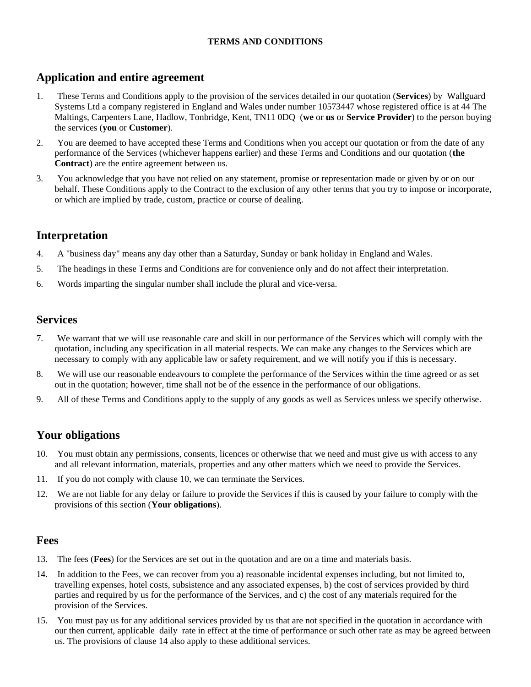#### **TERMS AND CONDITIONS**

## **Application and entire agreement**

- 1. These Terms and Conditions apply to the provision of the services detailed in our quotation (**Services**) by Wallguard Systems Ltd a company registered in England and Wales under number 10573447 whose registered office is at 44 The Maltings, Carpenters Lane, Hadlow, Tonbridge, Kent, TN11 0DQ (**we** or **us** or **Service Provider**) to the person buying the services (**you** or **Customer**).
- 2. You are deemed to have accepted these Terms and Conditions when you accept our quotation or from the date of any performance of the Services (whichever happens earlier) and these Terms and Conditions and our quotation (**the Contract**) are the entire agreement between us.
- 3. You acknowledge that you have not relied on any statement, promise or representation made or given by or on our behalf. These Conditions apply to the Contract to the exclusion of any other terms that you try to impose or incorporate, or which are implied by trade, custom, practice or course of dealing.

## **Interpretation**

- 4. A "business day" means any day other than a Saturday, Sunday or bank holiday in England and Wales.
- 5. The headings in these Terms and Conditions are for convenience only and do not affect their interpretation.
- 6. Words imparting the singular number shall include the plural and vice-versa.

### **Services**

- 7. We warrant that we will use reasonable care and skill in our performance of the Services which will comply with the quotation, including any specification in all material respects. We can make any changes to the Services which are necessary to comply with any applicable law or safety requirement, and we will notify you if this is necessary.
- 8. We will use our reasonable endeavours to complete the performance of the Services within the time agreed or as set out in the quotation; however, time shall not be of the essence in the performance of our obligations.
- 9. All of these Terms and Conditions apply to the supply of any goods as well as Services unless we specify otherwise.

## **Your obligations**

- 10. You must obtain any permissions, consents, licences or otherwise that we need and must give us with access to any and all relevant information, materials, properties and any other matters which we need to provide the Services.
- 11. If you do not comply with clause 10, we can terminate the Services.
- 12. We are not liable for any delay or failure to provide the Services if this is caused by your failure to comply with the provisions of this section (**Your obligations**).

#### **Fees**

- 13. The fees (**Fees**) for the Services are set out in the quotation and are on a time and materials basis.
- 14. In addition to the Fees, we can recover from you a) reasonable incidental expenses including, but not limited to, travelling expenses, hotel costs, subsistence and any associated expenses, b) the cost of services provided by third parties and required by us for the performance of the Services, and c) the cost of any materials required for the provision of the Services.
- 15. You must pay us for any additional services provided by us that are not specified in the quotation in accordance with our then current, applicable daily rate in effect at the time of performance or such other rate as may be agreed between us. The provisions of clause 14 also apply to these additional services.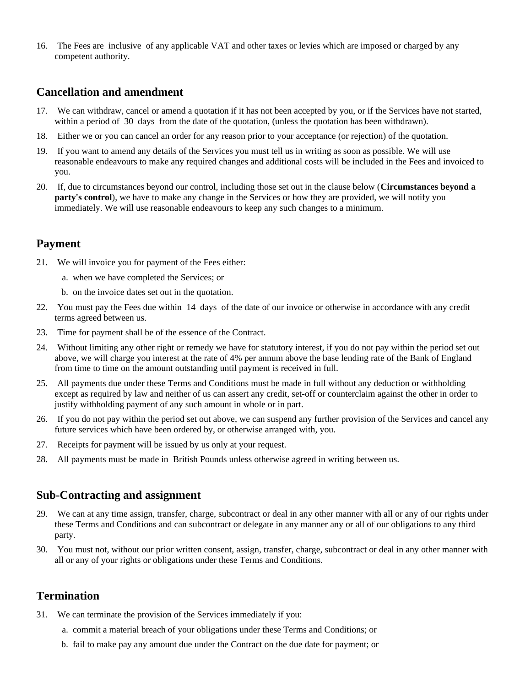16. The Fees are inclusive of any applicable VAT and other taxes or levies which are imposed or charged by any competent authority.

### **Cancellation and amendment**

- 17. We can withdraw, cancel or amend a quotation if it has not been accepted by you, or if the Services have not started, within a period of 30 days from the date of the quotation, (unless the quotation has been withdrawn).
- 18. Either we or you can cancel an order for any reason prior to your acceptance (or rejection) of the quotation.
- 19. If you want to amend any details of the Services you must tell us in writing as soon as possible. We will use reasonable endeavours to make any required changes and additional costs will be included in the Fees and invoiced to you.
- 20. If, due to circumstances beyond our control, including those set out in the clause below (**Circumstances beyond a party's control**), we have to make any change in the Services or how they are provided, we will notify you immediately. We will use reasonable endeavours to keep any such changes to a minimum.

#### **Payment**

- 21. We will invoice you for payment of the Fees either:
	- a. when we have completed the Services; or
	- b. on the invoice dates set out in the quotation.
- 22. You must pay the Fees due within 14 days of the date of our invoice or otherwise in accordance with any credit terms agreed between us.
- 23. Time for payment shall be of the essence of the Contract.
- 24. Without limiting any other right or remedy we have for statutory interest, if you do not pay within the period set out above, we will charge you interest at the rate of 4% per annum above the base lending rate of the Bank of England from time to time on the amount outstanding until payment is received in full.
- 25. All payments due under these Terms and Conditions must be made in full without any deduction or withholding except as required by law and neither of us can assert any credit, set-off or counterclaim against the other in order to justify withholding payment of any such amount in whole or in part.
- 26. If you do not pay within the period set out above, we can suspend any further provision of the Services and cancel any future services which have been ordered by, or otherwise arranged with, you.
- 27. Receipts for payment will be issued by us only at your request.
- 28. All payments must be made in British Pounds unless otherwise agreed in writing between us.

#### **Sub-Contracting and assignment**

- 29. We can at any time assign, transfer, charge, subcontract or deal in any other manner with all or any of our rights under these Terms and Conditions and can subcontract or delegate in any manner any or all of our obligations to any third party.
- 30. You must not, without our prior written consent, assign, transfer, charge, subcontract or deal in any other manner with all or any of your rights or obligations under these Terms and Conditions.

#### **Termination**

- 31. We can terminate the provision of the Services immediately if you:
	- a. commit a material breach of your obligations under these Terms and Conditions; or
	- b. fail to make pay any amount due under the Contract on the due date for payment; or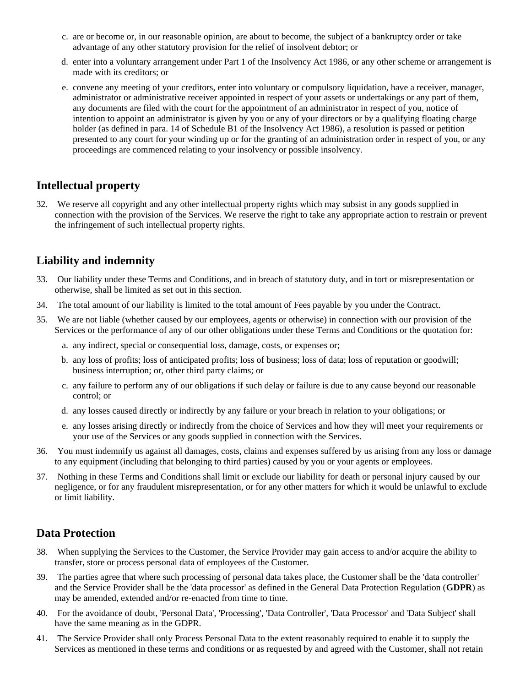- c. are or become or, in our reasonable opinion, are about to become, the subject of a bankruptcy order or take advantage of any other statutory provision for the relief of insolvent debtor; or
- d. enter into a voluntary arrangement under Part 1 of the Insolvency Act 1986, or any other scheme or arrangement is made with its creditors; or
- e. convene any meeting of your creditors, enter into voluntary or compulsory liquidation, have a receiver, manager, administrator or administrative receiver appointed in respect of your assets or undertakings or any part of them, any documents are filed with the court for the appointment of an administrator in respect of you, notice of intention to appoint an administrator is given by you or any of your directors or by a qualifying floating charge holder (as defined in para. 14 of Schedule B1 of the Insolvency Act 1986), a resolution is passed or petition presented to any court for your winding up or for the granting of an administration order in respect of you, or any proceedings are commenced relating to your insolvency or possible insolvency.

## **Intellectual property**

32. We reserve all copyright and any other intellectual property rights which may subsist in any goods supplied in connection with the provision of the Services. We reserve the right to take any appropriate action to restrain or prevent the infringement of such intellectual property rights.

# **Liability and indemnity**

- 33. Our liability under these Terms and Conditions, and in breach of statutory duty, and in tort or misrepresentation or otherwise, shall be limited as set out in this section.
- 34. The total amount of our liability is limited to the total amount of Fees payable by you under the Contract.
- 35. We are not liable (whether caused by our employees, agents or otherwise) in connection with our provision of the Services or the performance of any of our other obligations under these Terms and Conditions or the quotation for:
	- a. any indirect, special or consequential loss, damage, costs, or expenses or;
	- b. any loss of profits; loss of anticipated profits; loss of business; loss of data; loss of reputation or goodwill; business interruption; or, other third party claims; or
	- c. any failure to perform any of our obligations if such delay or failure is due to any cause beyond our reasonable control; or
	- d. any losses caused directly or indirectly by any failure or your breach in relation to your obligations; or
	- e. any losses arising directly or indirectly from the choice of Services and how they will meet your requirements or your use of the Services or any goods supplied in connection with the Services.
- 36. You must indemnify us against all damages, costs, claims and expenses suffered by us arising from any loss or damage to any equipment (including that belonging to third parties) caused by you or your agents or employees.
- 37. Nothing in these Terms and Conditions shall limit or exclude our liability for death or personal injury caused by our negligence, or for any fraudulent misrepresentation, or for any other matters for which it would be unlawful to exclude or limit liability.

# **Data Protection**

- 38. When supplying the Services to the Customer, the Service Provider may gain access to and/or acquire the ability to transfer, store or process personal data of employees of the Customer.
- 39. The parties agree that where such processing of personal data takes place, the Customer shall be the 'data controller' and the Service Provider shall be the 'data processor' as defined in the General Data Protection Regulation (**GDPR**) as may be amended, extended and/or re-enacted from time to time.
- 40. For the avoidance of doubt, 'Personal Data', 'Processing', 'Data Controller', 'Data Processor' and 'Data Subject' shall have the same meaning as in the GDPR.
- 41. The Service Provider shall only Process Personal Data to the extent reasonably required to enable it to supply the Services as mentioned in these terms and conditions or as requested by and agreed with the Customer, shall not retain